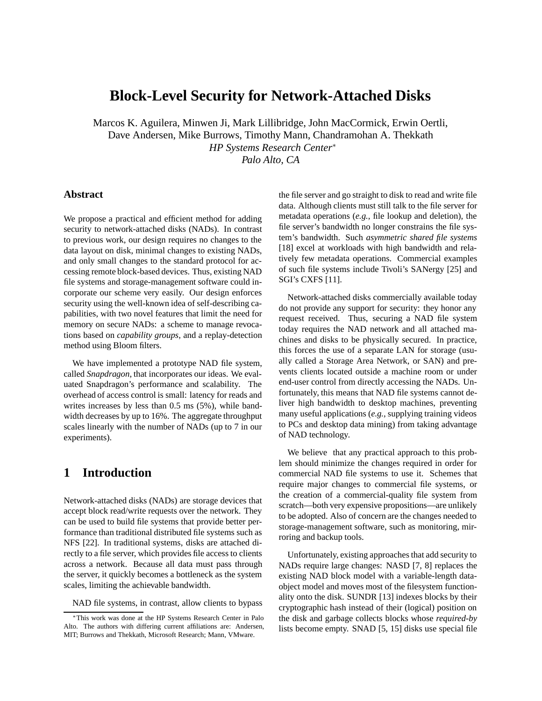# **Block-Level Security for Network-Attached Disks**

Marcos K. Aguilera, Minwen Ji, Mark Lillibridge, John MacCormick, Erwin Oertli, Dave Andersen, Mike Burrows, Timothy Mann, Chandramohan A. Thekkath *HP Systems Research Center*<sup>∗</sup> *Palo Alto, CA*

#### **Abstract**

We propose a practical and efficient method for adding security to network-attached disks (NADs). In contrast to previous work, our design requires no changes to the data layout on disk, minimal changes to existing NADs, and only small changes to the standard protocol for accessing remote block-based devices. Thus, existing NAD file systems and storage-management software could incorporate our scheme very easily. Our design enforces security using the well-known idea of self-describing capabilities, with two novel features that limit the need for memory on secure NADs: a scheme to manage revocations based on *capability groups*, and a replay-detection method using Bloom filters.

We have implemented a prototype NAD file system, called *Snapdragon*, that incorporates our ideas. We evaluated Snapdragon's performance and scalability. The overhead of access control is small: latency for reads and writes increases by less than 0.5 ms (5%), while bandwidth decreases by up to 16%. The aggregate throughput scales linearly with the number of NADs (up to 7 in our experiments).

## **1 Introduction**

Network-attached disks (NADs) are storage devices that accept block read/write requests over the network. They can be used to build file systems that provide better performance than traditional distributed file systems such as NFS [22]. In traditional systems, disks are attached directly to a file server, which provides file access to clients across a network. Because all data must pass through the server, it quickly becomes a bottleneck as the system scales, limiting the achievable bandwidth.

NAD file systems, in contrast, allow clients to bypass

the file server and go straight to disk to read and write file data. Although clients must still talk to the file server for metadata operations (*e.g.*, file lookup and deletion), the file server's bandwidth no longer constrains the file system's bandwidth. Such *asymmetric shared file systems* [18] excel at workloads with high bandwidth and relatively few metadata operations. Commercial examples of such file systems include Tivoli's SANergy [25] and SGI's CXFS [11].

Network-attached disks commercially available today do not provide any support for security: they honor any request received. Thus, securing a NAD file system today requires the NAD network and all attached machines and disks to be physically secured. In practice, this forces the use of a separate LAN for storage (usually called a Storage Area Network, or SAN) and prevents clients located outside a machine room or under end-user control from directly accessing the NADs. Unfortunately, this means that NAD file systems cannot deliver high bandwidth to desktop machines, preventing many useful applications (*e.g.*, supplying training videos to PCs and desktop data mining) from taking advantage of NAD technology.

We believe that any practical approach to this problem should minimize the changes required in order for commercial NAD file systems to use it. Schemes that require major changes to commercial file systems, or the creation of a commercial-quality file system from scratch—both very expensive propositions—are unlikely to be adopted. Also of concern are the changes needed to storage-management software, such as monitoring, mirroring and backup tools.

Unfortunately, existing approaches that add security to NADs require large changes: NASD [7, 8] replaces the existing NAD block model with a variable-length dataobject model and moves most of the filesystem functionality onto the disk. SUNDR [13] indexes blocks by their cryptographic hash instead of their (logical) position on the disk and garbage collects blocks whose *required-by* lists become empty. SNAD [5, 15] disks use special file

<sup>∗</sup>This work was done at the HP Systems Research Center in Palo Alto. The authors with differing current affiliations are: Andersen, MIT; Burrows and Thekkath, Microsoft Research; Mann, VMware.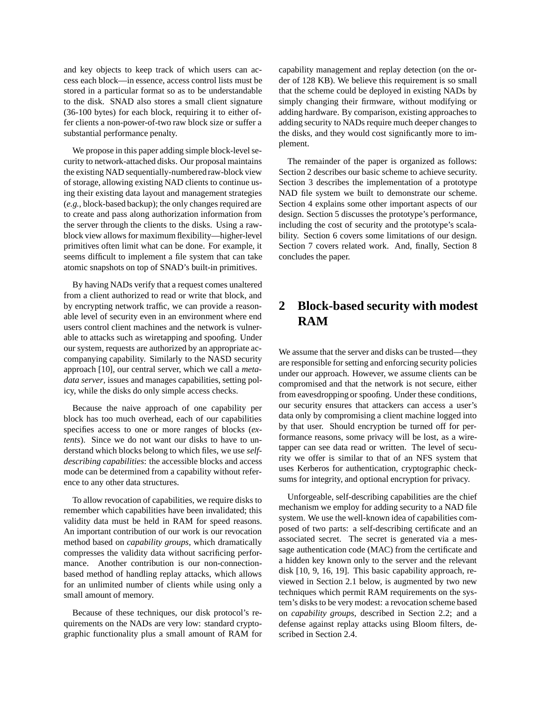and key objects to keep track of which users can access each block—in essence, access control lists must be stored in a particular format so as to be understandable to the disk. SNAD also stores a small client signature (36-100 bytes) for each block, requiring it to either offer clients a non-power-of-two raw block size or suffer a substantial performance penalty.

We propose in this paper adding simple block-level security to network-attached disks. Our proposal maintains the existing NAD sequentially-numberedraw-block view of storage, allowing existing NAD clients to continue using their existing data layout and management strategies (*e.g.*, block-based backup); the only changes required are to create and pass along authorization information from the server through the clients to the disks. Using a rawblock view allows for maximum flexibility—higher-level primitives often limit what can be done. For example, it seems difficult to implement a file system that can take atomic snapshots on top of SNAD's built-in primitives.

By having NADs verify that a request comes unaltered from a client authorized to read or write that block, and by encrypting network traffic, we can provide a reasonable level of security even in an environment where end users control client machines and the network is vulnerable to attacks such as wiretapping and spoofing. Under our system, requests are authorized by an appropriate accompanying capability. Similarly to the NASD security approach [10], our central server, which we call a *metadata server*, issues and manages capabilities, setting policy, while the disks do only simple access checks.

Because the naive approach of one capability per block has too much overhead, each of our capabilities specifies access to one or more ranges of blocks (*extents*). Since we do not want our disks to have to understand which blocks belong to which files, we use *selfdescribing capabilities*: the accessible blocks and access mode can be determined from a capability without reference to any other data structures.

To allow revocation of capabilities, we require disks to remember which capabilities have been invalidated; this validity data must be held in RAM for speed reasons. An important contribution of our work is our revocation method based on *capability groups*, which dramatically compresses the validity data without sacrificing performance. Another contribution is our non-connectionbased method of handling replay attacks, which allows for an unlimited number of clients while using only a small amount of memory.

Because of these techniques, our disk protocol's requirements on the NADs are very low: standard cryptographic functionality plus a small amount of RAM for capability management and replay detection (on the order of 128 KB). We believe this requirement is so small that the scheme could be deployed in existing NADs by simply changing their firmware, without modifying or adding hardware. By comparison, existing approaches to adding security to NADs require much deeper changes to the disks, and they would cost significantly more to implement.

The remainder of the paper is organized as follows: Section 2 describes our basic scheme to achieve security. Section 3 describes the implementation of a prototype NAD file system we built to demonstrate our scheme. Section 4 explains some other important aspects of our design. Section 5 discusses the prototype's performance, including the cost of security and the prototype's scalability. Section 6 covers some limitations of our design. Section 7 covers related work. And, finally, Section 8 concludes the paper.

# **2 Block-based security with modest RAM**

We assume that the server and disks can be trusted—they are responsible for setting and enforcing security policies under our approach. However, we assume clients can be compromised and that the network is not secure, either from eavesdropping or spoofing. Under these conditions, our security ensures that attackers can access a user's data only by compromising a client machine logged into by that user. Should encryption be turned off for performance reasons, some privacy will be lost, as a wiretapper can see data read or written. The level of security we offer is similar to that of an NFS system that uses Kerberos for authentication, cryptographic checksums for integrity, and optional encryption for privacy.

Unforgeable, self-describing capabilities are the chief mechanism we employ for adding security to a NAD file system. We use the well-known idea of capabilities composed of two parts: a self-describing certificate and an associated secret. The secret is generated via a message authentication code (MAC) from the certificate and a hidden key known only to the server and the relevant disk [10, 9, 16, 19]. This basic capability approach, reviewed in Section 2.1 below, is augmented by two new techniques which permit RAM requirements on the system's disks to be very modest: a revocation scheme based on *capability groups*, described in Section 2.2; and a defense against replay attacks using Bloom filters, described in Section 2.4.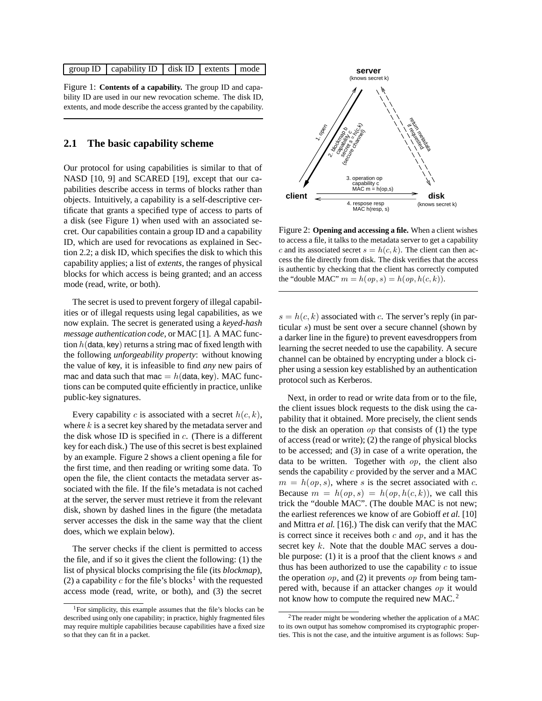|  |  | group ID $\vert$ capability ID $\vert$ disk ID $\vert$ extents $\vert$ mode |  |  |  |
|--|--|-----------------------------------------------------------------------------|--|--|--|
|--|--|-----------------------------------------------------------------------------|--|--|--|

Figure 1: **Contents of a capability.** The group ID and capability ID are used in our new revocation scheme. The disk ID, extents, and mode describe the access granted by the capability.

#### **2.1 The basic capability scheme**

Our protocol for using capabilities is similar to that of NASD [10, 9] and SCARED [19], except that our capabilities describe access in terms of blocks rather than objects. Intuitively, a capability is a self-descriptive certificate that grants a specified type of access to parts of a disk (see Figure 1) when used with an associated secret. Our capabilities contain a group ID and a capability ID, which are used for revocations as explained in Section 2.2; a disk ID, which specifies the disk to which this capability applies; a list of *extents*, the ranges of physical blocks for which access is being granted; and an access mode (read, write, or both).

The secret is used to prevent forgery of illegal capabilities or of illegal requests using legal capabilities, as we now explain. The secret is generated using a *keyed-hash message authentication code*, or MAC [1]. A MAC function *h*(data*,* key) returns a string mac of fixed length with the following *unforgeability property*: without knowing the value of key, it is infeasible to find *any* new pairs of mac and data such that mac  $= h$  (data, key). MAC functions can be computed quite efficiently in practice, unlike public-key signatures.

Every capability *c* is associated with a secret *h*(*c, k*), where *k* is a secret key shared by the metadata server and the disk whose ID is specified in *c*. (There is a different key for each disk.) The use of this secret is best explained by an example. Figure 2 shows a client opening a file for the first time, and then reading or writing some data. To open the file, the client contacts the metadata server associated with the file. If the file's metadata is not cached at the server, the server must retrieve it from the relevant disk, shown by dashed lines in the figure (the metadata server accesses the disk in the same way that the client does, which we explain below).

The server checks if the client is permitted to access the file, and if so it gives the client the following: (1) the list of physical blocks comprising the file (its *blockmap*), (2) a capability  $c$  for the file's blocks<sup>1</sup> with the requested access mode (read, write, or both), and (3) the secret



Figure 2: **Opening and accessing a file.** When a client wishes to access a file, it talks to the metadata server to get a capability *c* and its associated secret  $s = h(c, k)$ . The client can then access the file directly from disk. The disk verifies that the access is authentic by checking that the client has correctly computed the "double MAC"  $m = h(op, s) = h(op, h(c, k))$ .

 $s = h(c, k)$  associated with *c*. The server's reply (in particular *s*) must be sent over a secure channel (shown by a darker line in the figure) to prevent eavesdroppers from learning the secret needed to use the capability. A secure channel can be obtained by encrypting under a block cipher using a session key established by an authentication protocol such as Kerberos.

Next, in order to read or write data from or to the file, the client issues block requests to the disk using the capability that it obtained. More precisely, the client sends to the disk an operation *op* that consists of (1) the type of access (read or write); (2) the range of physical blocks to be accessed; and (3) in case of a write operation, the data to be written. Together with *op*, the client also sends the capability *c* provided by the server and a MAC  $m = h(op, s)$ , where *s* is the secret associated with *c*. Because  $m = h(op, s) = h(op, h(c, k))$ , we call this trick the "double MAC". (The double MAC is not new; the earliest references we know of are Gobioff *et al.* [10] and Mittra *et al.* [16].) The disk can verify that the MAC is correct since it receives both *c* and *op*, and it has the secret key *k*. Note that the double MAC serves a double purpose: (1) it is a proof that the client knows *s* and thus has been authorized to use the capability *c* to issue the operation *op*, and (2) it prevents *op* from being tampered with, because if an attacker changes *op* it would not know how to compute the required new MAC. <sup>2</sup>

<sup>1</sup>For simplicity, this example assumes that the file's blocks can be described using only one capability; in practice, highly fragmented files may require multiple capabilities because capabilities have a fixed size so that they can fit in a packet.

<sup>2</sup>The reader might be wondering whether the application of a MAC to its own output has somehow compromised its cryptographic properties. This is not the case, and the intuitive argument is as follows: Sup-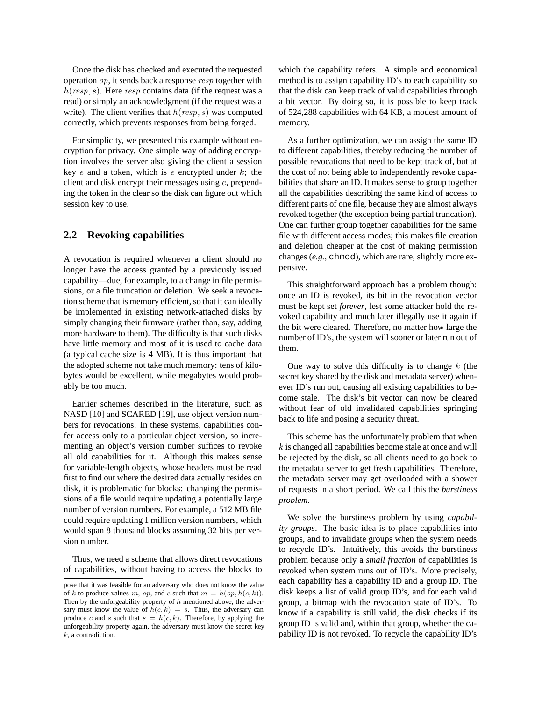Once the disk has checked and executed the requested operation *op*, it sends back a response *resp* together with *h*(*resp, s*). Here *resp* contains data (if the request was a read) or simply an acknowledgment (if the request was a write). The client verifies that *h*(*resp, s*) was computed correctly, which prevents responses from being forged.

For simplicity, we presented this example without encryption for privacy. One simple way of adding encryption involves the server also giving the client a session key *e* and a token, which is *e* encrypted under *k*; the client and disk encrypt their messages using *e*, prepending the token in the clear so the disk can figure out which session key to use.

#### **2.2 Revoking capabilities**

A revocation is required whenever a client should no longer have the access granted by a previously issued capability—due, for example, to a change in file permissions, or a file truncation or deletion. We seek a revocation scheme that is memory efficient, so that it can ideally be implemented in existing network-attached disks by simply changing their firmware (rather than, say, adding more hardware to them). The difficulty is that such disks have little memory and most of it is used to cache data (a typical cache size is 4 MB). It is thus important that the adopted scheme not take much memory: tens of kilobytes would be excellent, while megabytes would probably be too much.

Earlier schemes described in the literature, such as NASD [10] and SCARED [19], use object version numbers for revocations. In these systems, capabilities confer access only to a particular object version, so incrementing an object's version number suffices to revoke all old capabilities for it. Although this makes sense for variable-length objects, whose headers must be read first to find out where the desired data actually resides on disk, it is problematic for blocks: changing the permissions of a file would require updating a potentially large number of version numbers. For example, a 512 MB file could require updating 1 million version numbers, which would span 8 thousand blocks assuming 32 bits per version number.

Thus, we need a scheme that allows direct revocations of capabilities, without having to access the blocks to which the capability refers. A simple and economical method is to assign capability ID's to each capability so that the disk can keep track of valid capabilities through a bit vector. By doing so, it is possible to keep track of 524,288 capabilities with 64 KB, a modest amount of memory.

As a further optimization, we can assign the same ID to different capabilities, thereby reducing the number of possible revocations that need to be kept track of, but at the cost of not being able to independently revoke capabilities that share an ID. It makes sense to group together all the capabilities describing the same kind of access to different parts of one file, because they are almost always revoked together (the exception being partial truncation). One can further group together capabilities for the same file with different access modes; this makes file creation and deletion cheaper at the cost of making permission changes (*e.g.*, chmod), which are rare, slightly more expensive.

This straightforward approach has a problem though: once an ID is revoked, its bit in the revocation vector must be kept set *forever*, lest some attacker hold the revoked capability and much later illegally use it again if the bit were cleared. Therefore, no matter how large the number of ID's, the system will sooner or later run out of them.

One way to solve this difficulty is to change *k* (the secret key shared by the disk and metadata server) whenever ID's run out, causing all existing capabilities to become stale. The disk's bit vector can now be cleared without fear of old invalidated capabilities springing back to life and posing a security threat.

This scheme has the unfortunately problem that when *k* is changed all capabilities become stale at once and will be rejected by the disk, so all clients need to go back to the metadata server to get fresh capabilities. Therefore, the metadata server may get overloaded with a shower of requests in a short period. We call this the *burstiness problem*.

We solve the burstiness problem by using *capability groups*. The basic idea is to place capabilities into groups, and to invalidate groups when the system needs to recycle ID's. Intuitively, this avoids the burstiness problem because only a *small fraction* of capabilities is revoked when system runs out of ID's. More precisely, each capability has a capability ID and a group ID. The disk keeps a list of valid group ID's, and for each valid group, a bitmap with the revocation state of ID's. To know if a capability is still valid, the disk checks if its group ID is valid and, within that group, whether the capability ID is not revoked. To recycle the capability ID's

pose that it was feasible for an adversary who does not know the value of *k* to produce values *m*, *op*, and *c* such that  $m = h(op, h(c, k))$ . Then by the unforgeability property of *h* mentioned above, the adversary must know the value of  $h(c, k) = s$ . Thus, the adversary can produce *c* and *s* such that  $s = h(c, k)$ . Therefore, by applying the unforgeability property again, the adversary must know the secret key *k*, a contradiction.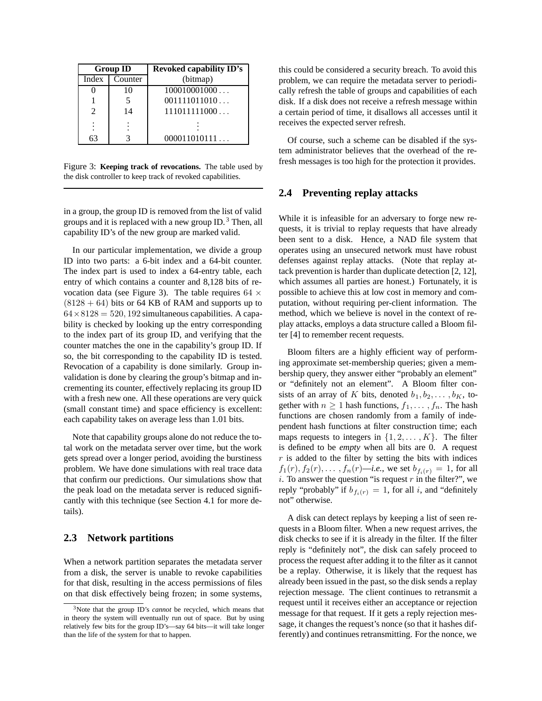| <b>Group ID</b>             |         | <b>Revoked capability ID's</b> |
|-----------------------------|---------|--------------------------------|
| Index                       | Counter | (bitmap)                       |
|                             | 10      | 100010001000                   |
|                             |         | 001111011010                   |
| $\mathcal{D}_{\mathcal{L}}$ | 14      | 111011111000                   |
|                             |         |                                |
| 63                          |         | 000011010111                   |
|                             |         |                                |

Figure 3: **Keeping track of revocations.** The table used by the disk controller to keep track of revoked capabilities.

in a group, the group ID is removed from the list of valid groups and it is replaced with a new group ID.<sup>3</sup> Then, all capability ID's of the new group are marked valid.

In our particular implementation, we divide a group ID into two parts: a 6-bit index and a 64-bit counter. The index part is used to index a 64-entry table, each entry of which contains a counter and 8,128 bits of revocation data (see Figure 3). The table requires  $64 \times$  $(8128 + 64)$  bits or 64 KB of RAM and supports up to  $64 \times 8128 = 520, 192$  simultaneous capabilities. A capability is checked by looking up the entry corresponding to the index part of its group ID, and verifying that the counter matches the one in the capability's group ID. If so, the bit corresponding to the capability ID is tested. Revocation of a capability is done similarly. Group invalidation is done by clearing the group's bitmap and incrementing its counter, effectively replacing its group ID with a fresh new one. All these operations are very quick (small constant time) and space efficiency is excellent: each capability takes on average less than 1.01 bits.

Note that capability groups alone do not reduce the total work on the metadata server over time, but the work gets spread over a longer period, avoiding the burstiness problem. We have done simulations with real trace data that confirm our predictions. Our simulations show that the peak load on the metadata server is reduced significantly with this technique (see Section 4.1 for more details).

#### **2.3 Network partitions**

When a network partition separates the metadata server from a disk, the server is unable to revoke capabilities for that disk, resulting in the access permissions of files on that disk effectively being frozen; in some systems, this could be considered a security breach. To avoid this problem, we can require the metadata server to periodically refresh the table of groups and capabilities of each disk. If a disk does not receive a refresh message within a certain period of time, it disallows all accesses until it receives the expected server refresh.

Of course, such a scheme can be disabled if the system administrator believes that the overhead of the refresh messages is too high for the protection it provides.

#### **2.4 Preventing replay attacks**

While it is infeasible for an adversary to forge new requests, it is trivial to replay requests that have already been sent to a disk. Hence, a NAD file system that operates using an unsecured network must have robust defenses against replay attacks. (Note that replay attack prevention is harder than duplicate detection [2, 12], which assumes all parties are honest.) Fortunately, it is possible to achieve this at low cost in memory and computation, without requiring per-client information. The method, which we believe is novel in the context of replay attacks, employs a data structure called a Bloom filter [4] to remember recent requests.

Bloom filters are a highly efficient way of performing approximate set-membership queries; given a membership query, they answer either "probably an element" or "definitely not an element". A Bloom filter consists of an array of *K* bits, denoted  $b_1, b_2, \ldots, b_K$ , together with  $n \geq 1$  hash functions,  $f_1, \ldots, f_n$ . The hash functions are chosen randomly from a family of independent hash functions at filter construction time; each maps requests to integers in  $\{1, 2, \ldots, K\}$ . The filter is defined to be *empty* when all bits are 0. A request  $r$  is added to the filter by setting the bits with indices *f*<sub>1</sub>(*r*)*, f*<sub>2</sub>(*r*)*,... , f<sub>n</sub>*(*r*)—*i.e.*, we set  $b_{f_i(r)} = 1$ , for all *i*. To answer the question "is request  $r$  in the filter?", we reply "probably" if  $b_{f_i(r)} = 1$ , for all *i*, and "definitely" not" otherwise.

A disk can detect replays by keeping a list of seen requests in a Bloom filter. When a new request arrives, the disk checks to see if it is already in the filter. If the filter reply is "definitely not", the disk can safely proceed to process the request after adding it to the filter as it cannot be a replay. Otherwise, it is likely that the request has already been issued in the past, so the disk sends a replay rejection message. The client continues to retransmit a request until it receives either an acceptance or rejection message for that request. If it gets a reply rejection message, it changes the request's nonce (so that it hashes differently) and continues retransmitting. For the nonce, we

<sup>3</sup>Note that the group ID's *cannot* be recycled, which means that in theory the system will eventually run out of space. But by using relatively few bits for the group ID's—say 64 bits—it will take longer than the life of the system for that to happen.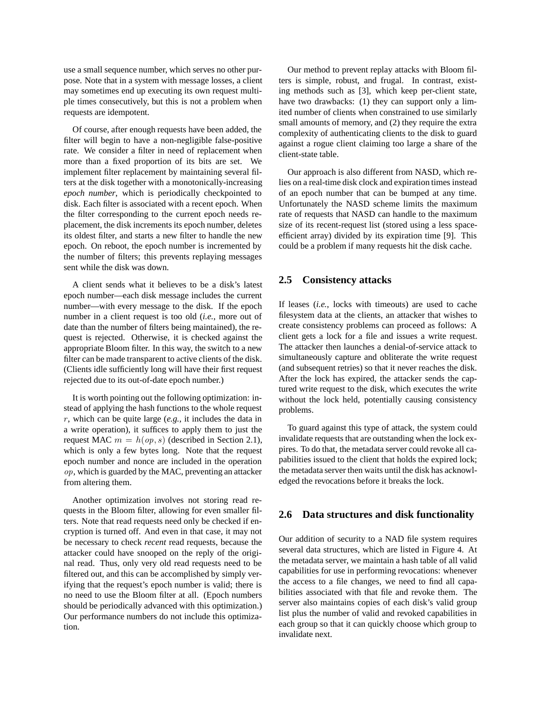use a small sequence number, which serves no other purpose. Note that in a system with message losses, a client may sometimes end up executing its own request multiple times consecutively, but this is not a problem when requests are idempotent.

Of course, after enough requests have been added, the filter will begin to have a non-negligible false-positive rate. We consider a filter in need of replacement when more than a fixed proportion of its bits are set. We implement filter replacement by maintaining several filters at the disk together with a monotonically-increasing *epoch number*, which is periodically checkpointed to disk. Each filter is associated with a recent epoch. When the filter corresponding to the current epoch needs replacement, the disk increments its epoch number, deletes its oldest filter, and starts a new filter to handle the new epoch. On reboot, the epoch number is incremented by the number of filters; this prevents replaying messages sent while the disk was down.

A client sends what it believes to be a disk's latest epoch number—each disk message includes the current number—with every message to the disk. If the epoch number in a client request is too old (*i.e.*, more out of date than the number of filters being maintained), the request is rejected. Otherwise, it is checked against the appropriate Bloom filter. In this way, the switch to a new filter can be made transparent to active clients of the disk. (Clients idle sufficiently long will have their first request rejected due to its out-of-date epoch number.)

It is worth pointing out the following optimization: instead of applying the hash functions to the whole request *r*, which can be quite large (*e.g.*, it includes the data in a write operation), it suffices to apply them to just the request MAC  $m = h(op, s)$  (described in Section 2.1), which is only a few bytes long. Note that the request epoch number and nonce are included in the operation *op*, which is guarded by the MAC, preventing an attacker from altering them.

Another optimization involves not storing read requests in the Bloom filter, allowing for even smaller filters. Note that read requests need only be checked if encryption is turned off. And even in that case, it may not be necessary to check *recent* read requests, because the attacker could have snooped on the reply of the original read. Thus, only very old read requests need to be filtered out, and this can be accomplished by simply verifying that the request's epoch number is valid; there is no need to use the Bloom filter at all. (Epoch numbers should be periodically advanced with this optimization.) Our performance numbers do not include this optimization.

Our method to prevent replay attacks with Bloom filters is simple, robust, and frugal. In contrast, existing methods such as [3], which keep per-client state, have two drawbacks: (1) they can support only a limited number of clients when constrained to use similarly small amounts of memory, and (2) they require the extra complexity of authenticating clients to the disk to guard against a rogue client claiming too large a share of the client-state table.

Our approach is also different from NASD, which relies on a real-time disk clock and expiration times instead of an epoch number that can be bumped at any time. Unfortunately the NASD scheme limits the maximum rate of requests that NASD can handle to the maximum size of its recent-request list (stored using a less spaceefficient array) divided by its expiration time [9]. This could be a problem if many requests hit the disk cache.

#### **2.5 Consistency attacks**

If leases (*i.e.*, locks with timeouts) are used to cache filesystem data at the clients, an attacker that wishes to create consistency problems can proceed as follows: A client gets a lock for a file and issues a write request. The attacker then launches a denial-of-service attack to simultaneously capture and obliterate the write request (and subsequent retries) so that it never reaches the disk. After the lock has expired, the attacker sends the captured write request to the disk, which executes the write without the lock held, potentially causing consistency problems.

To guard against this type of attack, the system could invalidate requests that are outstanding when the lock expires. To do that, the metadata server could revoke all capabilities issued to the client that holds the expired lock; the metadata server then waits until the disk has acknowledged the revocations before it breaks the lock.

#### **2.6 Data structures and disk functionality**

Our addition of security to a NAD file system requires several data structures, which are listed in Figure 4. At the metadata server, we maintain a hash table of all valid capabilities for use in performing revocations: whenever the access to a file changes, we need to find all capabilities associated with that file and revoke them. The server also maintains copies of each disk's valid group list plus the number of valid and revoked capabilities in each group so that it can quickly choose which group to invalidate next.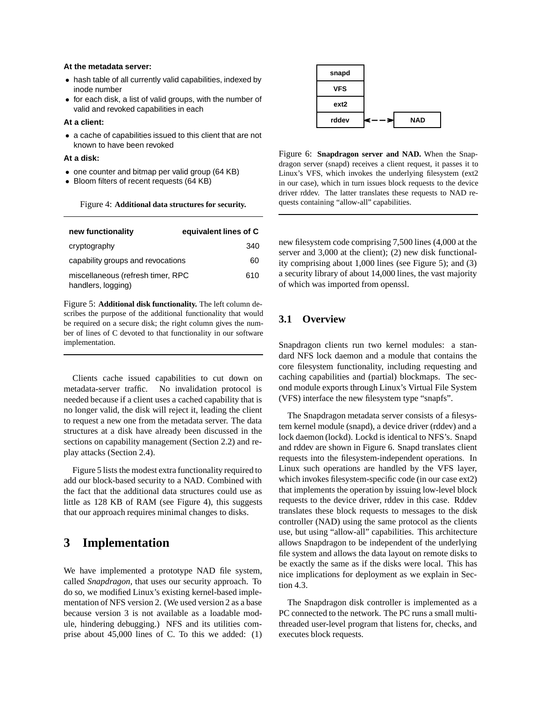#### **At the metadata server:**

- *•* hash table of all currently valid capabilities, indexed by inode number
- *•* for each disk, a list of valid groups, with the number of valid and revoked capabilities in each

#### **At a client:**

*•* a cache of capabilities issued to this client that are not known to have been revoked

#### **At a disk:**

- one counter and bitmap per valid group (64 KB)
- *•* Bloom filters of recent requests (64 KB)

Figure 4: **Additional data structures for security.**

| new functionality                                       | equivalent lines of C |
|---------------------------------------------------------|-----------------------|
| cryptography                                            | 340                   |
| capability groups and revocations                       | 60                    |
| miscellaneous (refresh timer, RPC<br>handlers, logging) | 610                   |

Figure 5: **Additional disk functionality.** The left column describes the purpose of the additional functionality that would be required on a secure disk; the right column gives the number of lines of C devoted to that functionality in our software implementation.

Clients cache issued capabilities to cut down on metadata-server traffic. No invalidation protocol is needed because if a client uses a cached capability that is no longer valid, the disk will reject it, leading the client to request a new one from the metadata server. The data structures at a disk have already been discussed in the sections on capability management (Section 2.2) and replay attacks (Section 2.4).

Figure 5 lists the modest extra functionality required to add our block-based security to a NAD. Combined with the fact that the additional data structures could use as little as 128 KB of RAM (see Figure 4), this suggests that our approach requires minimal changes to disks.

### **3 Implementation**

We have implemented a prototype NAD file system, called *Snapdragon*, that uses our security approach. To do so, we modified Linux's existing kernel-based implementation of NFS version 2. (We used version 2 as a base because version 3 is not available as a loadable module, hindering debugging.) NFS and its utilities comprise about 45,000 lines of C. To this we added: (1)



Figure 6: **Snapdragon server and NAD.** When the Snapdragon server (snapd) receives a client request, it passes it to Linux's VFS, which invokes the underlying filesystem (ext2 in our case), which in turn issues block requests to the device driver rddev. The latter translates these requests to NAD requests containing "allow-all" capabilities.

new filesystem code comprising 7,500 lines (4,000 at the server and 3,000 at the client); (2) new disk functionality comprising about 1,000 lines (see Figure 5); and (3) a security library of about 14,000 lines, the vast majority of which was imported from openssl.

### **3.1 Overview**

Snapdragon clients run two kernel modules: a standard NFS lock daemon and a module that contains the core filesystem functionality, including requesting and caching capabilities and (partial) blockmaps. The second module exports through Linux's Virtual File System (VFS) interface the new filesystem type "snapfs".

The Snapdragon metadata server consists of a filesystem kernel module (snapd), a device driver (rddev) and a lock daemon (lockd). Lockd is identical to NFS's. Snapd and rddev are shown in Figure 6. Snapd translates client requests into the filesystem-independent operations. In Linux such operations are handled by the VFS layer, which invokes filesystem-specific code (in our case ext2) that implements the operation by issuing low-level block requests to the device driver, rddev in this case. Rddev translates these block requests to messages to the disk controller (NAD) using the same protocol as the clients use, but using "allow-all" capabilities. This architecture allows Snapdragon to be independent of the underlying file system and allows the data layout on remote disks to be exactly the same as if the disks were local. This has nice implications for deployment as we explain in Section 4.3.

The Snapdragon disk controller is implemented as a PC connected to the network. The PC runs a small multithreaded user-level program that listens for, checks, and executes block requests.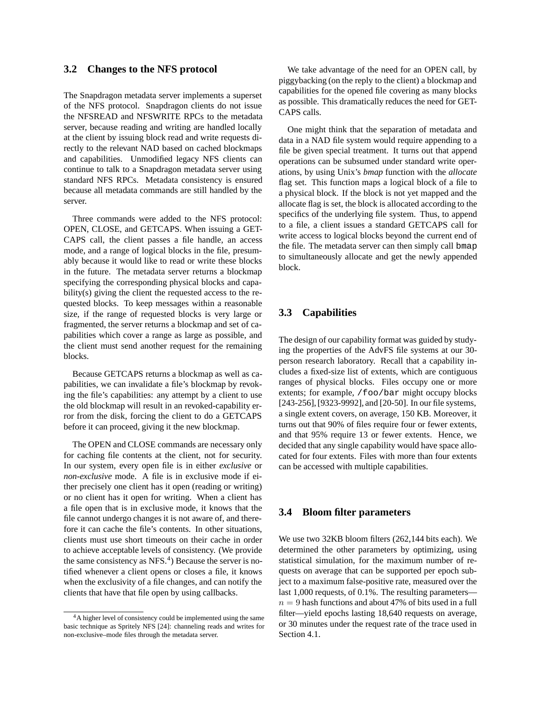#### **3.2 Changes to the NFS protocol**

The Snapdragon metadata server implements a superset of the NFS protocol. Snapdragon clients do not issue the NFSREAD and NFSWRITE RPCs to the metadata server, because reading and writing are handled locally at the client by issuing block read and write requests directly to the relevant NAD based on cached blockmaps and capabilities. Unmodified legacy NFS clients can continue to talk to a Snapdragon metadata server using standard NFS RPCs. Metadata consistency is ensured because all metadata commands are still handled by the server.

Three commands were added to the NFS protocol: OPEN, CLOSE, and GETCAPS. When issuing a GET-CAPS call, the client passes a file handle, an access mode, and a range of logical blocks in the file, presumably because it would like to read or write these blocks in the future. The metadata server returns a blockmap specifying the corresponding physical blocks and capability(s) giving the client the requested access to the requested blocks. To keep messages within a reasonable size, if the range of requested blocks is very large or fragmented, the server returns a blockmap and set of capabilities which cover a range as large as possible, and the client must send another request for the remaining blocks.

Because GETCAPS returns a blockmap as well as capabilities, we can invalidate a file's blockmap by revoking the file's capabilities: any attempt by a client to use the old blockmap will result in an revoked-capability error from the disk, forcing the client to do a GETCAPS before it can proceed, giving it the new blockmap.

The OPEN and CLOSE commands are necessary only for caching file contents at the client, not for security. In our system, every open file is in either *exclusive* or *non-exclusive* mode. A file is in exclusive mode if either precisely one client has it open (reading or writing) or no client has it open for writing. When a client has a file open that is in exclusive mode, it knows that the file cannot undergo changes it is not aware of, and therefore it can cache the file's contents. In other situations, clients must use short timeouts on their cache in order to achieve acceptable levels of consistency. (We provide the same consistency as NFS.<sup>4</sup>) Because the server is notified whenever a client opens or closes a file, it knows when the exclusivity of a file changes, and can notify the clients that have that file open by using callbacks.

We take advantage of the need for an OPEN call, by piggybacking (on the reply to the client) a blockmap and capabilities for the opened file covering as many blocks as possible. This dramatically reduces the need for GET-CAPS calls.

One might think that the separation of metadata and data in a NAD file system would require appending to a file be given special treatment. It turns out that append operations can be subsumed under standard write operations, by using Unix's *bmap* function with the *allocate* flag set. This function maps a logical block of a file to a physical block. If the block is not yet mapped and the allocate flag is set, the block is allocated according to the specifics of the underlying file system. Thus, to append to a file, a client issues a standard GETCAPS call for write access to logical blocks beyond the current end of the file. The metadata server can then simply call bmap to simultaneously allocate and get the newly appended block.

#### **3.3 Capabilities**

The design of our capability format was guided by studying the properties of the AdvFS file systems at our 30 person research laboratory. Recall that a capability includes a fixed-size list of extents, which are contiguous ranges of physical blocks. Files occupy one or more extents; for example, /foo/bar might occupy blocks [243-256], [9323-9992], and [20-50]. In our file systems, a single extent covers, on average, 150 KB. Moreover, it turns out that 90% of files require four or fewer extents, and that 95% require 13 or fewer extents. Hence, we decided that any single capability would have space allocated for four extents. Files with more than four extents can be accessed with multiple capabilities.

#### **3.4 Bloom filter parameters**

We use two 32KB bloom filters (262,144 bits each). We determined the other parameters by optimizing, using statistical simulation, for the maximum number of requests on average that can be supported per epoch subject to a maximum false-positive rate, measured over the last 1,000 requests, of 0.1%. The resulting parameters  $n = 9$  hash functions and about 47% of bits used in a full filter—yield epochs lasting 18,640 requests on average, or 30 minutes under the request rate of the trace used in Section 4.1.

<sup>4</sup>A higher level of consistency could be implemented using the same basic technique as Spritely NFS [24]: channeling reads and writes for non-exclusive–mode files through the metadata server.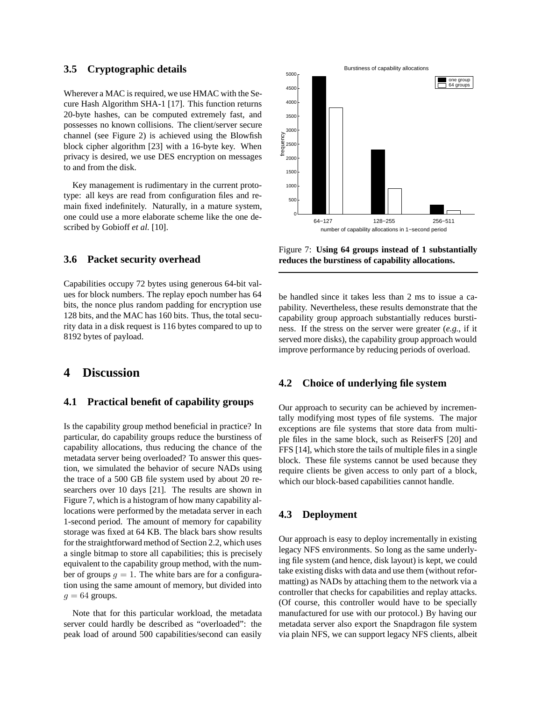#### **3.5 Cryptographic details**

Wherever a MAC is required, we use HMAC with the Secure Hash Algorithm SHA-1 [17]. This function returns 20-byte hashes, can be computed extremely fast, and possesses no known collisions. The client/server secure channel (see Figure 2) is achieved using the Blowfish block cipher algorithm [23] with a 16-byte key. When privacy is desired, we use DES encryption on messages to and from the disk.

Key management is rudimentary in the current prototype: all keys are read from configuration files and remain fixed indefinitely. Naturally, in a mature system, one could use a more elaborate scheme like the one described by Gobioff *et al.* [10].

#### **3.6 Packet security overhead**

Capabilities occupy 72 bytes using generous 64-bit values for block numbers. The replay epoch number has 64 bits, the nonce plus random padding for encryption use 128 bits, and the MAC has 160 bits. Thus, the total security data in a disk request is 116 bytes compared to up to 8192 bytes of payload.

### **4 Discussion**

#### **4.1 Practical benefit of capability groups**

Is the capability group method beneficial in practice? In particular, do capability groups reduce the burstiness of capability allocations, thus reducing the chance of the metadata server being overloaded? To answer this question, we simulated the behavior of secure NADs using the trace of a 500 GB file system used by about 20 researchers over 10 days [21]. The results are shown in Figure 7, which is a histogram of how many capability allocations were performed by the metadata server in each 1-second period. The amount of memory for capability storage was fixed at 64 KB. The black bars show results for the straightforward method of Section 2.2, which uses a single bitmap to store all capabilities; this is precisely equivalent to the capability group method, with the number of groups  $g = 1$ . The white bars are for a configuration using the same amount of memory, but divided into  $q = 64$  groups.

Note that for this particular workload, the metadata server could hardly be described as "overloaded": the peak load of around 500 capabilities/second can easily



Figure 7: **Using 64 groups instead of 1 substantially reduces the burstiness of capability allocations.**

be handled since it takes less than 2 ms to issue a capability. Nevertheless, these results demonstrate that the capability group approach substantially reduces burstiness. If the stress on the server were greater (*e.g.*, if it served more disks), the capability group approach would improve performance by reducing periods of overload.

### **4.2 Choice of underlying file system**

Our approach to security can be achieved by incrementally modifying most types of file systems. The major exceptions are file systems that store data from multiple files in the same block, such as ReiserFS [20] and FFS [14], which store the tails of multiple files in a single block. These file systems cannot be used because they require clients be given access to only part of a block, which our block-based capabilities cannot handle.

#### **4.3 Deployment**

Our approach is easy to deploy incrementally in existing legacy NFS environments. So long as the same underlying file system (and hence, disk layout) is kept, we could take existing disks with data and use them (without reformatting) as NADs by attaching them to the network via a controller that checks for capabilities and replay attacks. (Of course, this controller would have to be specially manufactured for use with our protocol.) By having our metadata server also export the Snapdragon file system via plain NFS, we can support legacy NFS clients, albeit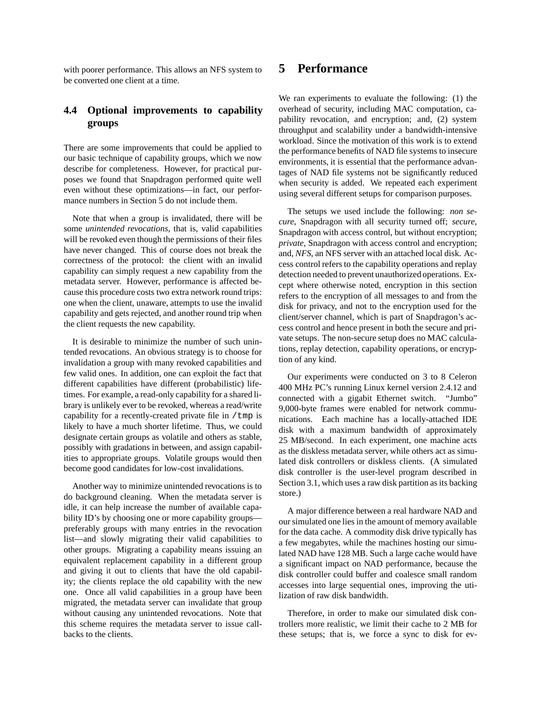with poorer performance. This allows an NFS system to be converted one client at a time.

### **4.4 Optional improvements to capability groups**

There are some improvements that could be applied to our basic technique of capability groups, which we now describe for completeness. However, for practical purposes we found that Snapdragon performed quite well even without these optimizations—in fact, our performance numbers in Section 5 do not include them.

Note that when a group is invalidated, there will be some *unintended revocations*, that is, valid capabilities will be revoked even though the permissions of their files have never changed. This of course does not break the correctness of the protocol: the client with an invalid capability can simply request a new capability from the metadata server. However, performance is affected because this procedure costs two extra network round trips: one when the client, unaware, attempts to use the invalid capability and gets rejected, and another round trip when the client requests the new capability.

It is desirable to minimize the number of such unintended revocations. An obvious strategy is to choose for invalidation a group with many revoked capabilities and few valid ones. In addition, one can exploit the fact that different capabilities have different (probabilistic) lifetimes. For example, a read-only capability for a shared library is unlikely ever to be revoked, whereas a read/write capability for a recently-created private file in  $/\text{tmp}$  is likely to have a much shorter lifetime. Thus, we could designate certain groups as volatile and others as stable, possibly with gradations in between, and assign capabilities to appropriate groups. Volatile groups would then become good candidates for low-cost invalidations.

Another way to minimize unintended revocations is to do background cleaning. When the metadata server is idle, it can help increase the number of available capability ID's by choosing one or more capability groups preferably groups with many entries in the revocation list—and slowly migrating their valid capabilities to other groups. Migrating a capability means issuing an equivalent replacement capability in a different group and giving it out to clients that have the old capability; the clients replace the old capability with the new one. Once all valid capabilities in a group have been migrated, the metadata server can invalidate that group without causing any unintended revocations. Note that this scheme requires the metadata server to issue callbacks to the clients.

## **5 Performance**

We ran experiments to evaluate the following: (1) the overhead of security, including MAC computation, capability revocation, and encryption; and, (2) system throughput and scalability under a bandwidth-intensive workload. Since the motivation of this work is to extend the performance benefits of NAD file systems to insecure environments, it is essential that the performance advantages of NAD file systems not be significantly reduced when security is added. We repeated each experiment using several different setups for comparison purposes.

The setups we used include the following: *non secure*, Snapdragon with all security turned off; *secure*, Snapdragon with access control, but without encryption; *private*, Snapdragon with access control and encryption; and, *NFS*, an NFS server with an attached local disk. Access control refers to the capability operations and replay detection needed to prevent unauthorized operations. Except where otherwise noted, encryption in this section refers to the encryption of all messages to and from the disk for privacy, and not to the encryption used for the client/server channel, which is part of Snapdragon's access control and hence present in both the secure and private setups. The non-secure setup does no MAC calculations, replay detection, capability operations, or encryption of any kind.

Our experiments were conducted on 3 to 8 Celeron 400 MHz PC's running Linux kernel version 2.4.12 and connected with a gigabit Ethernet switch. "Jumbo" 9,000-byte frames were enabled for network communications. Each machine has a locally-attached IDE disk with a maximum bandwidth of approximately 25 MB/second. In each experiment, one machine acts as the diskless metadata server, while others act as simulated disk controllers or diskless clients. (A simulated disk controller is the user-level program described in Section 3.1, which uses a raw disk partition as its backing store.)

A major difference between a real hardware NAD and our simulated one lies in the amount of memory available for the data cache. A commodity disk drive typically has a few megabytes, while the machines hosting our simulated NAD have 128 MB. Such a large cache would have a significant impact on NAD performance, because the disk controller could buffer and coalesce small random accesses into large sequential ones, improving the utilization of raw disk bandwidth.

Therefore, in order to make our simulated disk controllers more realistic, we limit their cache to 2 MB for these setups; that is, we force a sync to disk for ev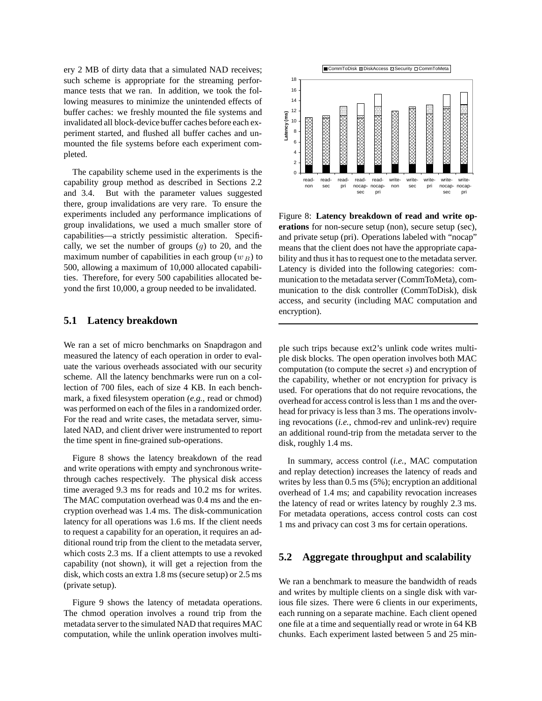ery 2 MB of dirty data that a simulated NAD receives; such scheme is appropriate for the streaming performance tests that we ran. In addition, we took the following measures to minimize the unintended effects of buffer caches: we freshly mounted the file systems and invalidated all block-device buffer caches before each experiment started, and flushed all buffer caches and unmounted the file systems before each experiment completed.

The capability scheme used in the experiments is the capability group method as described in Sections 2.2 and 3.4. But with the parameter values suggested there, group invalidations are very rare. To ensure the experiments included any performance implications of group invalidations, we used a much smaller store of capabilities—a strictly pessimistic alteration. Specifically, we set the number of groups (*g*) to 20, and the maximum number of capabilities in each group  $(w_B)$  to 500, allowing a maximum of 10,000 allocated capabilities. Therefore, for every 500 capabilities allocated beyond the first 10,000, a group needed to be invalidated.

#### **5.1 Latency breakdown**

We ran a set of micro benchmarks on Snapdragon and measured the latency of each operation in order to evaluate the various overheads associated with our security scheme. All the latency benchmarks were run on a collection of 700 files, each of size 4 KB. In each benchmark, a fixed filesystem operation (*e.g.*, read or chmod) was performed on each of the files in a randomized order. For the read and write cases, the metadata server, simulated NAD, and client driver were instrumented to report the time spent in fine-grained sub-operations.

Figure 8 shows the latency breakdown of the read and write operations with empty and synchronous writethrough caches respectively. The physical disk access time averaged 9.3 ms for reads and 10.2 ms for writes. The MAC computation overhead was 0.4 ms and the encryption overhead was 1.4 ms. The disk-communication latency for all operations was 1.6 ms. If the client needs to request a capability for an operation, it requires an additional round trip from the client to the metadata server, which costs 2.3 ms. If a client attempts to use a revoked capability (not shown), it will get a rejection from the disk, which costs an extra 1.8 ms (secure setup) or 2.5 ms (private setup).

Figure 9 shows the latency of metadata operations. The chmod operation involves a round trip from the metadata server to the simulated NAD that requires MAC computation, while the unlink operation involves multi-



Figure 8: **Latency breakdown of read and write operations** for non-secure setup (non), secure setup (sec), and private setup (pri). Operations labeled with "nocap" means that the client does not have the appropriate capability and thus it has to request one to the metadata server. Latency is divided into the following categories: communication to the metadata server (CommToMeta), communication to the disk controller (CommToDisk), disk access, and security (including MAC computation and encryption).

ple such trips because ext2's unlink code writes multiple disk blocks. The open operation involves both MAC computation (to compute the secret *s*) and encryption of the capability, whether or not encryption for privacy is used. For operations that do not require revocations, the overhead for access control is less than 1 ms and the overhead for privacy is less than 3 ms. The operations involving revocations (*i.e.*, chmod-rev and unlink-rev) require an additional round-trip from the metadata server to the disk, roughly 1.4 ms.

In summary, access control (*i.e.*, MAC computation and replay detection) increases the latency of reads and writes by less than 0.5 ms (5%); encryption an additional overhead of 1.4 ms; and capability revocation increases the latency of read or writes latency by roughly 2.3 ms. For metadata operations, access control costs can cost 1 ms and privacy can cost 3 ms for certain operations.

#### **5.2 Aggregate throughput and scalability**

We ran a benchmark to measure the bandwidth of reads and writes by multiple clients on a single disk with various file sizes. There were 6 clients in our experiments, each running on a separate machine. Each client opened one file at a time and sequentially read or wrote in 64 KB chunks. Each experiment lasted between 5 and 25 min-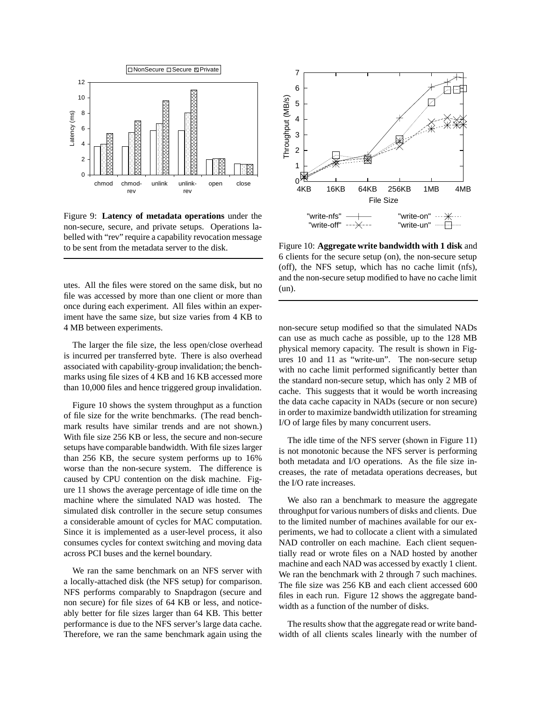

Figure 9: **Latency of metadata operations** under the non-secure, secure, and private setups. Operations labelled with "rev" require a capability revocation message to be sent from the metadata server to the disk.

utes. All the files were stored on the same disk, but no file was accessed by more than one client or more than once during each experiment. All files within an experiment have the same size, but size varies from 4 KB to 4 MB between experiments.

The larger the file size, the less open/close overhead is incurred per transferred byte. There is also overhead associated with capability-group invalidation; the benchmarks using file sizes of 4 KB and 16 KB accessed more than 10,000 files and hence triggered group invalidation.

Figure 10 shows the system throughput as a function of file size for the write benchmarks. (The read benchmark results have similar trends and are not shown.) With file size 256 KB or less, the secure and non-secure setups have comparable bandwidth. With file sizes larger than 256 KB, the secure system performs up to 16% worse than the non-secure system. The difference is caused by CPU contention on the disk machine. Figure 11 shows the average percentage of idle time on the machine where the simulated NAD was hosted. The simulated disk controller in the secure setup consumes a considerable amount of cycles for MAC computation. Since it is implemented as a user-level process, it also consumes cycles for context switching and moving data across PCI buses and the kernel boundary.

We ran the same benchmark on an NFS server with a locally-attached disk (the NFS setup) for comparison. NFS performs comparably to Snapdragon (secure and non secure) for file sizes of 64 KB or less, and noticeably better for file sizes larger than 64 KB. This better performance is due to the NFS server's large data cache. Therefore, we ran the same benchmark again using the



Figure 10: **Aggregate write bandwidth with 1 disk** and 6 clients for the secure setup (on), the non-secure setup (off), the NFS setup, which has no cache limit (nfs), and the non-secure setup modified to have no cache limit (un).

non-secure setup modified so that the simulated NADs can use as much cache as possible, up to the 128 MB physical memory capacity. The result is shown in Figures 10 and 11 as "write-un". The non-secure setup with no cache limit performed significantly better than the standard non-secure setup, which has only 2 MB of cache. This suggests that it would be worth increasing the data cache capacity in NADs (secure or non secure) in order to maximize bandwidth utilization for streaming I/O of large files by many concurrent users.

The idle time of the NFS server (shown in Figure 11) is not monotonic because the NFS server is performing both metadata and I/O operations. As the file size increases, the rate of metadata operations decreases, but the I/O rate increases.

We also ran a benchmark to measure the aggregate throughput for various numbers of disks and clients. Due to the limited number of machines available for our experiments, we had to collocate a client with a simulated NAD controller on each machine. Each client sequentially read or wrote files on a NAD hosted by another machine and each NAD was accessed by exactly 1 client. We ran the benchmark with 2 through 7 such machines. The file size was 256 KB and each client accessed 600 files in each run. Figure 12 shows the aggregate bandwidth as a function of the number of disks.

The results show that the aggregate read or write bandwidth of all clients scales linearly with the number of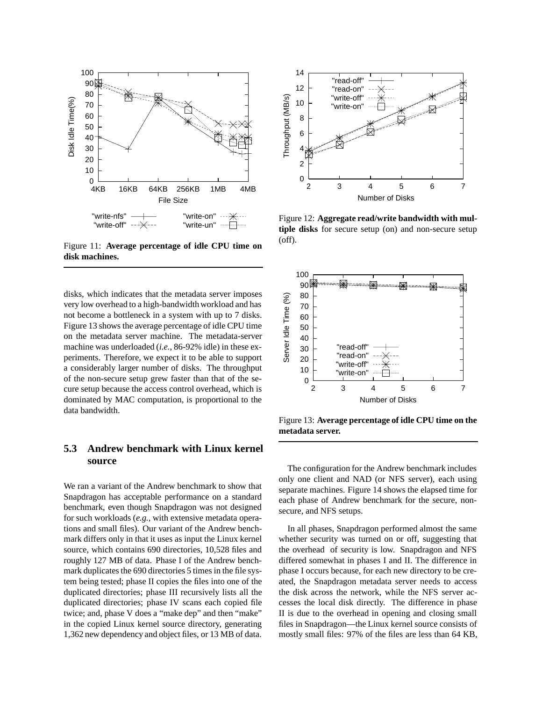

Figure 11: **Average percentage of idle CPU time on disk machines.**

disks, which indicates that the metadata server imposes very low overhead to a high-bandwidth workload and has not become a bottleneck in a system with up to 7 disks. Figure 13 shows the average percentage of idle CPU time on the metadata server machine. The metadata-server machine was underloaded (*i.e.*, 86-92% idle) in these experiments. Therefore, we expect it to be able to support a considerably larger number of disks. The throughput of the non-secure setup grew faster than that of the secure setup because the access control overhead, which is dominated by MAC computation, is proportional to the data bandwidth.

### **5.3 Andrew benchmark with Linux kernel source**

We ran a variant of the Andrew benchmark to show that Snapdragon has acceptable performance on a standard benchmark, even though Snapdragon was not designed for such workloads (*e.g.*, with extensive metadata operations and small files). Our variant of the Andrew benchmark differs only in that it uses as input the Linux kernel source, which contains 690 directories, 10,528 files and roughly 127 MB of data. Phase I of the Andrew benchmark duplicates the 690 directories 5 times in the file system being tested; phase II copies the files into one of the duplicated directories; phase III recursively lists all the duplicated directories; phase IV scans each copied file twice; and, phase V does a "make dep" and then "make" in the copied Linux kernel source directory, generating 1,362 new dependency and object files, or 13 MB of data.



Figure 12: **Aggregate read/write bandwidth with multiple disks** for secure setup (on) and non-secure setup (off).



Figure 13: **Average percentage of idle CPU time on the metadata server.**

The configuration for the Andrew benchmark includes only one client and NAD (or NFS server), each using separate machines. Figure 14 shows the elapsed time for each phase of Andrew benchmark for the secure, nonsecure, and NFS setups.

In all phases, Snapdragon performed almost the same whether security was turned on or off, suggesting that the overhead of security is low. Snapdragon and NFS differed somewhat in phases I and II. The difference in phase I occurs because, for each new directory to be created, the Snapdragon metadata server needs to access the disk across the network, while the NFS server accesses the local disk directly. The difference in phase II is due to the overhead in opening and closing small files in Snapdragon—the Linux kernel source consists of mostly small files: 97% of the files are less than 64 KB,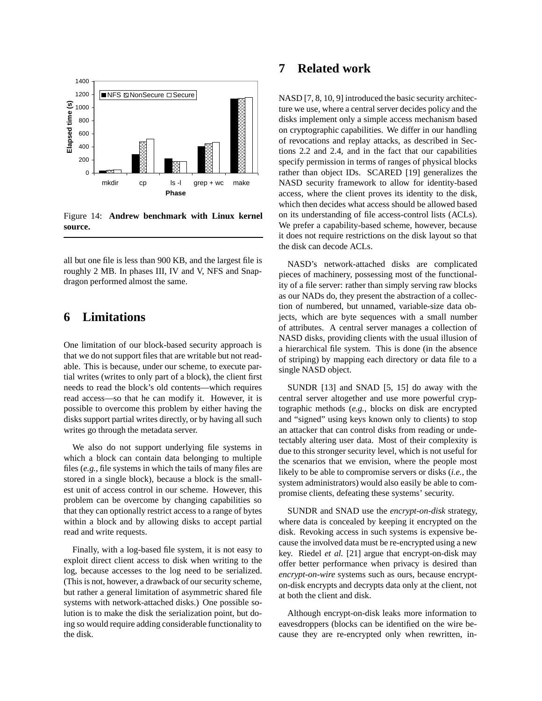

Figure 14: **Andrew benchmark with Linux kernel source.**

all but one file is less than 900 KB, and the largest file is roughly 2 MB. In phases III, IV and V, NFS and Snapdragon performed almost the same.

### **6 Limitations**

One limitation of our block-based security approach is that we do not support files that are writable but not readable. This is because, under our scheme, to execute partial writes (writes to only part of a block), the client first needs to read the block's old contents—which requires read access—so that he can modify it. However, it is possible to overcome this problem by either having the disks support partial writes directly, or by having all such writes go through the metadata server.

We also do not support underlying file systems in which a block can contain data belonging to multiple files (*e.g.*, file systems in which the tails of many files are stored in a single block), because a block is the smallest unit of access control in our scheme. However, this problem can be overcome by changing capabilities so that they can optionally restrict access to a range of bytes within a block and by allowing disks to accept partial read and write requests.

Finally, with a log-based file system, it is not easy to exploit direct client access to disk when writing to the log, because accesses to the log need to be serialized. (This is not, however, a drawback of our security scheme, but rather a general limitation of asymmetric shared file systems with network-attached disks.) One possible solution is to make the disk the serialization point, but doing so would require adding considerable functionality to the disk.

### **7 Related work**

NASD [7, 8, 10, 9] introduced the basic security architecture we use, where a central server decides policy and the disks implement only a simple access mechanism based on cryptographic capabilities. We differ in our handling of revocations and replay attacks, as described in Sections 2.2 and 2.4, and in the fact that our capabilities specify permission in terms of ranges of physical blocks rather than object IDs. SCARED [19] generalizes the NASD security framework to allow for identity-based access, where the client proves its identity to the disk, which then decides what access should be allowed based on its understanding of file access-control lists (ACLs). We prefer a capability-based scheme, however, because it does not require restrictions on the disk layout so that the disk can decode ACLs.

NASD's network-attached disks are complicated pieces of machinery, possessing most of the functionality of a file server: rather than simply serving raw blocks as our NADs do, they present the abstraction of a collection of numbered, but unnamed, variable-size data objects, which are byte sequences with a small number of attributes. A central server manages a collection of NASD disks, providing clients with the usual illusion of a hierarchical file system. This is done (in the absence of striping) by mapping each directory or data file to a single NASD object.

SUNDR [13] and SNAD [5, 15] do away with the central server altogether and use more powerful cryptographic methods (*e.g.*, blocks on disk are encrypted and "signed" using keys known only to clients) to stop an attacker that can control disks from reading or undetectably altering user data. Most of their complexity is due to this stronger security level, which is not useful for the scenarios that we envision, where the people most likely to be able to compromise servers or disks (*i.e.*, the system administrators) would also easily be able to compromise clients, defeating these systems' security.

SUNDR and SNAD use the *encrypt-on-disk* strategy, where data is concealed by keeping it encrypted on the disk. Revoking access in such systems is expensive because the involved data must be re-encrypted using a new key. Riedel *et al.* [21] argue that encrypt-on-disk may offer better performance when privacy is desired than *encrypt-on-wire* systems such as ours, because encrypton-disk encrypts and decrypts data only at the client, not at both the client and disk.

Although encrypt-on-disk leaks more information to eavesdroppers (blocks can be identified on the wire because they are re-encrypted only when rewritten, in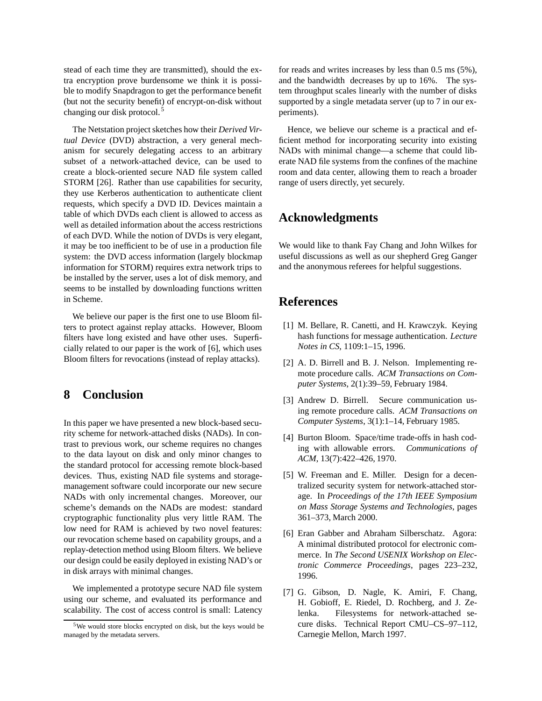stead of each time they are transmitted), should the extra encryption prove burdensome we think it is possible to modify Snapdragon to get the performance benefit (but not the security benefit) of encrypt-on-disk without changing our disk protocol.<sup>5</sup>

The Netstation project sketches how their *Derived Virtual Device* (DVD) abstraction, a very general mechanism for securely delegating access to an arbitrary subset of a network-attached device, can be used to create a block-oriented secure NAD file system called STORM [26]. Rather than use capabilities for security, they use Kerberos authentication to authenticate client requests, which specify a DVD ID. Devices maintain a table of which DVDs each client is allowed to access as well as detailed information about the access restrictions of each DVD. While the notion of DVDs is very elegant, it may be too inefficient to be of use in a production file system: the DVD access information (largely blockmap information for STORM) requires extra network trips to be installed by the server, uses a lot of disk memory, and seems to be installed by downloading functions written in Scheme.

We believe our paper is the first one to use Bloom filters to protect against replay attacks. However, Bloom filters have long existed and have other uses. Superficially related to our paper is the work of [6], which uses Bloom filters for revocations (instead of replay attacks).

### **8 Conclusion**

In this paper we have presented a new block-based security scheme for network-attached disks (NADs). In contrast to previous work, our scheme requires no changes to the data layout on disk and only minor changes to the standard protocol for accessing remote block-based devices. Thus, existing NAD file systems and storagemanagement software could incorporate our new secure NADs with only incremental changes. Moreover, our scheme's demands on the NADs are modest: standard cryptographic functionality plus very little RAM. The low need for RAM is achieved by two novel features: our revocation scheme based on capability groups, and a replay-detection method using Bloom filters. We believe our design could be easily deployed in existing NAD's or in disk arrays with minimal changes.

We implemented a prototype secure NAD file system using our scheme, and evaluated its performance and scalability. The cost of access control is small: Latency for reads and writes increases by less than 0.5 ms (5%), and the bandwidth decreases by up to 16%. The system throughput scales linearly with the number of disks supported by a single metadata server (up to 7 in our experiments).

Hence, we believe our scheme is a practical and efficient method for incorporating security into existing NADs with minimal change—a scheme that could liberate NAD file systems from the confines of the machine room and data center, allowing them to reach a broader range of users directly, yet securely.

### **Acknowledgments**

We would like to thank Fay Chang and John Wilkes for useful discussions as well as our shepherd Greg Ganger and the anonymous referees for helpful suggestions.

### **References**

- [1] M. Bellare, R. Canetti, and H. Krawczyk. Keying hash functions for message authentication. *Lecture Notes in CS*, 1109:1–15, 1996.
- [2] A. D. Birrell and B. J. Nelson. Implementing remote procedure calls. *ACM Transactions on Computer Systems*, 2(1):39–59, February 1984.
- [3] Andrew D. Birrell. Secure communication using remote procedure calls. *ACM Transactions on Computer Systems*, 3(1):1–14, February 1985.
- [4] Burton Bloom. Space/time trade-offs in hash coding with allowable errors. *Communications of ACM*, 13(7):422–426, 1970.
- [5] W. Freeman and E. Miller. Design for a decentralized security system for network-attached storage. In *Proceedings of the 17th IEEE Symposium on Mass Storage Systems and Technologies*, pages 361–373, March 2000.
- [6] Eran Gabber and Abraham Silberschatz. Agora: A minimal distributed protocol for electronic commerce. In *The Second USENIX Workshop on Electronic Commerce Proceedings*, pages 223–232, 1996.
- [7] G. Gibson, D. Nagle, K. Amiri, F. Chang, H. Gobioff, E. Riedel, D. Rochberg, and J. Zelenka. Filesystems for network-attached secure disks. Technical Report CMU–CS–97–112, Carnegie Mellon, March 1997.

<sup>5</sup>We would store blocks encrypted on disk, but the keys would be managed by the metadata servers.